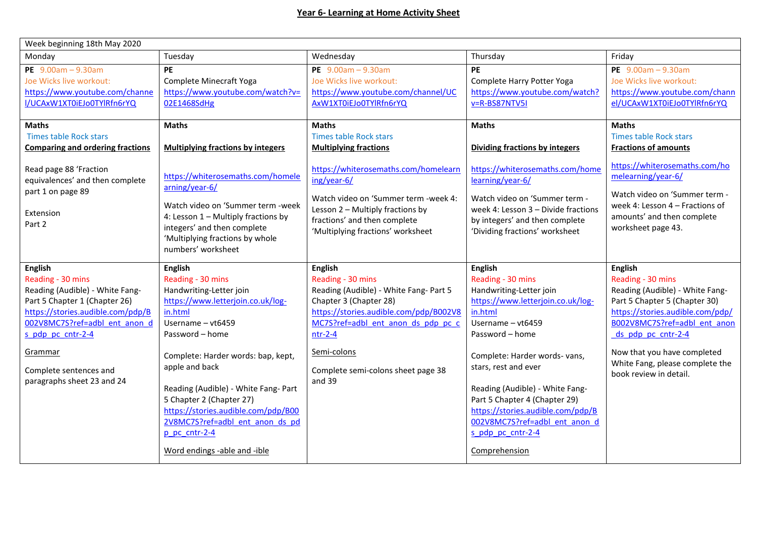| Week beginning 18th May 2020                                                                                                                                                                                                                                          |                                                                                                                                                                                                                                                                                                                                                                                                               |                                                                                                                                                                                                                                                                                       |                                                                                                                                                                                                                                                                                                                                                                                                 |                                                                                                                                                                                                                                                                                               |  |  |  |
|-----------------------------------------------------------------------------------------------------------------------------------------------------------------------------------------------------------------------------------------------------------------------|---------------------------------------------------------------------------------------------------------------------------------------------------------------------------------------------------------------------------------------------------------------------------------------------------------------------------------------------------------------------------------------------------------------|---------------------------------------------------------------------------------------------------------------------------------------------------------------------------------------------------------------------------------------------------------------------------------------|-------------------------------------------------------------------------------------------------------------------------------------------------------------------------------------------------------------------------------------------------------------------------------------------------------------------------------------------------------------------------------------------------|-----------------------------------------------------------------------------------------------------------------------------------------------------------------------------------------------------------------------------------------------------------------------------------------------|--|--|--|
| Monday                                                                                                                                                                                                                                                                | Tuesday                                                                                                                                                                                                                                                                                                                                                                                                       | Wednesday                                                                                                                                                                                                                                                                             | Thursday                                                                                                                                                                                                                                                                                                                                                                                        | Friday                                                                                                                                                                                                                                                                                        |  |  |  |
| PE $9.00am - 9.30am$<br>Joe Wicks live workout:<br>https://www.youtube.com/channe<br>I/UCAxW1XT0iEJo0TYlRfn6rYQ                                                                                                                                                       | <b>PE</b><br>Complete Minecraft Yoga<br>https://www.youtube.com/watch?v=<br>02E1468SdHg                                                                                                                                                                                                                                                                                                                       | PE $9.00am - 9.30am$<br>Joe Wicks live workout:<br>https://www.youtube.com/channel/UC<br>AxW1XT0iEJo0TYlRfn6rYQ                                                                                                                                                                       | <b>PE</b><br>Complete Harry Potter Yoga<br>https://www.youtube.com/watch?<br>v=R-BS87NTV5I                                                                                                                                                                                                                                                                                                      | PE $9.00am - 9.30am$<br>Joe Wicks live workout:<br>https://www.youtube.com/chann<br>el/UCAxW1XT0iEJo0TYlRfn6rYQ                                                                                                                                                                               |  |  |  |
| <b>Maths</b><br><b>Times table Rock stars</b><br><b>Comparing and ordering fractions</b><br>Read page 88 'Fraction<br>equivalences' and then complete<br>part 1 on page 89<br>Extension<br>Part 2                                                                     | <b>Maths</b><br><b>Multiplying fractions by integers</b><br>https://whiterosemaths.com/homele<br>arning/year-6/<br>Watch video on 'Summer term -week<br>4: Lesson 1 - Multiply fractions by<br>integers' and then complete<br>'Multiplying fractions by whole<br>numbers' worksheet                                                                                                                           | <b>Maths</b><br><b>Times table Rock stars</b><br><b>Multiplying fractions</b><br>https://whiterosemaths.com/homelearn<br>ing/year-6/<br>Watch video on 'Summer term -week 4:<br>Lesson 2 - Multiply fractions by<br>fractions' and then complete<br>'Multiplying fractions' worksheet | <b>Maths</b><br><b>Dividing fractions by integers</b><br>https://whiterosemaths.com/home<br>learning/year-6/<br>Watch video on 'Summer term -<br>week 4: Lesson 3 - Divide fractions<br>by integers' and then complete<br>'Dividing fractions' worksheet                                                                                                                                        | <b>Maths</b><br><b>Times table Rock stars</b><br><b>Fractions of amounts</b><br>https://whiterosemaths.com/ho<br>melearning/year-6/<br>Watch video on 'Summer term -<br>week 4: Lesson 4 - Fractions of<br>amounts' and then complete<br>worksheet page 43.                                   |  |  |  |
| <b>English</b><br>Reading - 30 mins<br>Reading (Audible) - White Fang-<br>Part 5 Chapter 1 (Chapter 26)<br>https://stories.audible.com/pdp/B<br>002V8MC7S?ref=adbl ent anon d<br>s pdp pc cntr-2-4<br>Grammar<br>Complete sentences and<br>paragraphs sheet 23 and 24 | <b>English</b><br>Reading - 30 mins<br>Handwriting-Letter join<br>https://www.letterjoin.co.uk/log-<br>in.html<br>Username - vt6459<br>Password - home<br>Complete: Harder words: bap, kept,<br>apple and back<br>Reading (Audible) - White Fang- Part<br>5 Chapter 2 (Chapter 27)<br>https://stories.audible.com/pdp/B00<br>2V8MC7S?ref=adbl ent anon ds pd<br>p pc cntr-2-4<br>Word endings -able and -ible | <b>English</b><br>Reading - 30 mins<br>Reading (Audible) - White Fang- Part 5<br>Chapter 3 (Chapter 28)<br>https://stories.audible.com/pdp/B002V8<br>MC7S?ref=adbl ent anon ds pdp pc c<br>$ntr-2-4$<br>Semi-colons<br>Complete semi-colons sheet page 38<br>and 39                   | <b>English</b><br>Reading - 30 mins<br>Handwriting-Letter join<br>https://www.letterjoin.co.uk/log-<br>in.html<br>Username - vt6459<br>Password - home<br>Complete: Harder words- vans,<br>stars, rest and ever<br>Reading (Audible) - White Fang-<br>Part 5 Chapter 4 (Chapter 29)<br>https://stories.audible.com/pdp/B<br>002V8MC7S?ref=adbl ent anon d<br>s pdp pc cntr-2-4<br>Comprehension | <b>English</b><br>Reading - 30 mins<br>Reading (Audible) - White Fang-<br>Part 5 Chapter 5 (Chapter 30)<br>https://stories.audible.com/pdp/<br>B002V8MC7S?ref=adbl ent anon<br>ds pdp pc cntr-2-4<br>Now that you have completed<br>White Fang, please complete the<br>book review in detail. |  |  |  |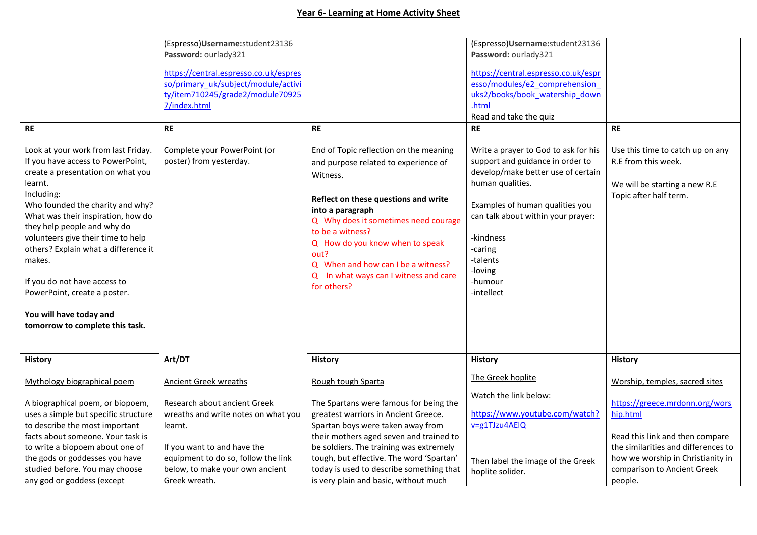## **Year 6- Learning at Home Activity Sheet**

|                                                                                                                                                                                                                                                              | (Espresso)Username:student23136                                                                                                                                                                          |                                                                                                                                                                                                             | (Espresso)Username:student23136                                                                                                                                                                                                                                                                                                                                       |                                                                                                                                 |
|--------------------------------------------------------------------------------------------------------------------------------------------------------------------------------------------------------------------------------------------------------------|----------------------------------------------------------------------------------------------------------------------------------------------------------------------------------------------------------|-------------------------------------------------------------------------------------------------------------------------------------------------------------------------------------------------------------|-----------------------------------------------------------------------------------------------------------------------------------------------------------------------------------------------------------------------------------------------------------------------------------------------------------------------------------------------------------------------|---------------------------------------------------------------------------------------------------------------------------------|
|                                                                                                                                                                                                                                                              | Password: ourlady321                                                                                                                                                                                     |                                                                                                                                                                                                             | Password: ourlady321                                                                                                                                                                                                                                                                                                                                                  |                                                                                                                                 |
| <b>RE</b><br>Look at your work from last Friday.<br>If you have access to PowerPoint,<br>create a presentation on what you<br>learnt.<br>Including:<br>Who founded the charity and why?<br>What was their inspiration, how do<br>they help people and why do | https://central.espresso.co.uk/espres<br>so/primary_uk/subject/module/activi<br>ty/item710245/grade2/module70925<br>7/index.html<br><b>RE</b><br>Complete your PowerPoint (or<br>poster) from yesterday. | <b>RE</b><br>End of Topic reflection on the meaning<br>and purpose related to experience of<br>Witness.<br>Reflect on these questions and write<br>into a paragraph<br>Q Why does it sometimes need courage | https://central.espresso.co.uk/espr<br>esso/modules/e2 comprehension<br>uks2/books/book watership down<br>.html<br>Read and take the quiz<br><b>RE</b><br>Write a prayer to God to ask for his<br>support and guidance in order to<br>develop/make better use of certain<br>human qualities.<br>Examples of human qualities you<br>can talk about within your prayer: | <b>RE</b><br>Use this time to catch up on any<br>R.E from this week.<br>We will be starting a new R.E<br>Topic after half term. |
| volunteers give their time to help                                                                                                                                                                                                                           |                                                                                                                                                                                                          | to be a witness?                                                                                                                                                                                            | -kindness                                                                                                                                                                                                                                                                                                                                                             |                                                                                                                                 |
| others? Explain what a difference it                                                                                                                                                                                                                         |                                                                                                                                                                                                          | Q How do you know when to speak                                                                                                                                                                             | -caring                                                                                                                                                                                                                                                                                                                                                               |                                                                                                                                 |
| makes.                                                                                                                                                                                                                                                       |                                                                                                                                                                                                          | out?                                                                                                                                                                                                        | -talents                                                                                                                                                                                                                                                                                                                                                              |                                                                                                                                 |
|                                                                                                                                                                                                                                                              |                                                                                                                                                                                                          | Q When and how can I be a witness?                                                                                                                                                                          | -loving                                                                                                                                                                                                                                                                                                                                                               |                                                                                                                                 |
| If you do not have access to                                                                                                                                                                                                                                 |                                                                                                                                                                                                          | Q In what ways can I witness and care                                                                                                                                                                       | -humour                                                                                                                                                                                                                                                                                                                                                               |                                                                                                                                 |
| PowerPoint, create a poster.                                                                                                                                                                                                                                 |                                                                                                                                                                                                          | for others?                                                                                                                                                                                                 | -intellect                                                                                                                                                                                                                                                                                                                                                            |                                                                                                                                 |
|                                                                                                                                                                                                                                                              |                                                                                                                                                                                                          |                                                                                                                                                                                                             |                                                                                                                                                                                                                                                                                                                                                                       |                                                                                                                                 |
| You will have today and                                                                                                                                                                                                                                      |                                                                                                                                                                                                          |                                                                                                                                                                                                             |                                                                                                                                                                                                                                                                                                                                                                       |                                                                                                                                 |
| tomorrow to complete this task.                                                                                                                                                                                                                              |                                                                                                                                                                                                          |                                                                                                                                                                                                             |                                                                                                                                                                                                                                                                                                                                                                       |                                                                                                                                 |
|                                                                                                                                                                                                                                                              |                                                                                                                                                                                                          |                                                                                                                                                                                                             |                                                                                                                                                                                                                                                                                                                                                                       |                                                                                                                                 |
| <b>History</b>                                                                                                                                                                                                                                               | Art/DT                                                                                                                                                                                                   | <b>History</b>                                                                                                                                                                                              | <b>History</b>                                                                                                                                                                                                                                                                                                                                                        | History                                                                                                                         |
|                                                                                                                                                                                                                                                              |                                                                                                                                                                                                          |                                                                                                                                                                                                             |                                                                                                                                                                                                                                                                                                                                                                       |                                                                                                                                 |
| Mythology biographical poem                                                                                                                                                                                                                                  | <b>Ancient Greek wreaths</b>                                                                                                                                                                             | Rough tough Sparta                                                                                                                                                                                          | The Greek hoplite                                                                                                                                                                                                                                                                                                                                                     | Worship, temples, sacred sites                                                                                                  |
|                                                                                                                                                                                                                                                              |                                                                                                                                                                                                          |                                                                                                                                                                                                             | Watch the link below:                                                                                                                                                                                                                                                                                                                                                 |                                                                                                                                 |
| A biographical poem, or biopoem,                                                                                                                                                                                                                             | Research about ancient Greek                                                                                                                                                                             | The Spartans were famous for being the                                                                                                                                                                      |                                                                                                                                                                                                                                                                                                                                                                       | https://greece.mrdonn.org/wors                                                                                                  |
| uses a simple but specific structure                                                                                                                                                                                                                         | wreaths and write notes on what you                                                                                                                                                                      | greatest warriors in Ancient Greece.                                                                                                                                                                        | https://www.youtube.com/watch?                                                                                                                                                                                                                                                                                                                                        | hip.html                                                                                                                        |
| to describe the most important                                                                                                                                                                                                                               | learnt.                                                                                                                                                                                                  | Spartan boys were taken away from                                                                                                                                                                           | v=g1TJzu4AElQ                                                                                                                                                                                                                                                                                                                                                         |                                                                                                                                 |
| facts about someone. Your task is                                                                                                                                                                                                                            |                                                                                                                                                                                                          | their mothers aged seven and trained to                                                                                                                                                                     |                                                                                                                                                                                                                                                                                                                                                                       | Read this link and then compare                                                                                                 |
| to write a biopoem about one of                                                                                                                                                                                                                              | If you want to and have the                                                                                                                                                                              | be soldiers. The training was extremely                                                                                                                                                                     |                                                                                                                                                                                                                                                                                                                                                                       | the similarities and differences to                                                                                             |
| the gods or goddesses you have                                                                                                                                                                                                                               | equipment to do so, follow the link                                                                                                                                                                      | tough, but effective. The word 'Spartan'                                                                                                                                                                    | Then label the image of the Greek                                                                                                                                                                                                                                                                                                                                     | how we worship in Christianity in                                                                                               |
| studied before. You may choose                                                                                                                                                                                                                               | below, to make your own ancient                                                                                                                                                                          | today is used to describe something that                                                                                                                                                                    | hoplite solider.                                                                                                                                                                                                                                                                                                                                                      | comparison to Ancient Greek                                                                                                     |
| any god or goddess (except                                                                                                                                                                                                                                   | Greek wreath.                                                                                                                                                                                            | is very plain and basic, without much                                                                                                                                                                       |                                                                                                                                                                                                                                                                                                                                                                       | people.                                                                                                                         |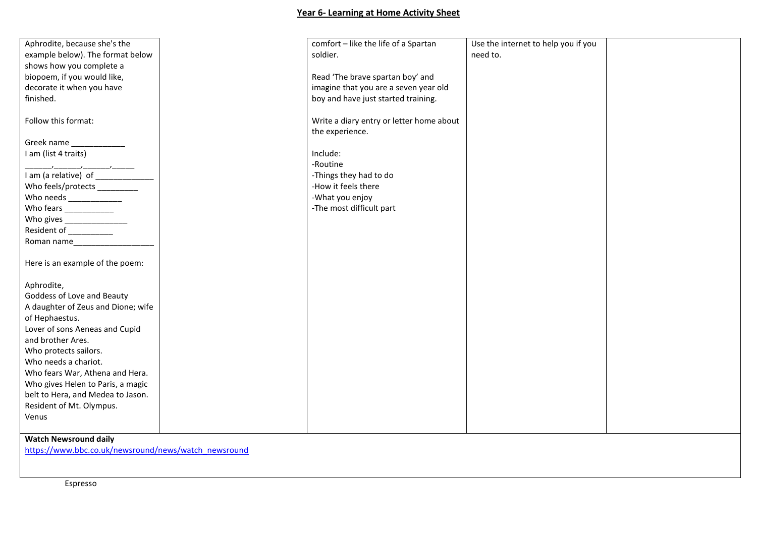## **Year 6- Learning at Home Activity Sheet**

| Aphrodite, because she's the                         | comfort - like the life of a Spartan     | Use the internet to help you if you |  |  |  |  |
|------------------------------------------------------|------------------------------------------|-------------------------------------|--|--|--|--|
| example below). The format below                     | soldier.                                 | need to.                            |  |  |  |  |
| shows how you complete a                             |                                          |                                     |  |  |  |  |
| biopoem, if you would like,                          | Read 'The brave spartan boy' and         |                                     |  |  |  |  |
| decorate it when you have                            | imagine that you are a seven year old    |                                     |  |  |  |  |
| finished.                                            | boy and have just started training.      |                                     |  |  |  |  |
|                                                      |                                          |                                     |  |  |  |  |
| Follow this format:                                  |                                          |                                     |  |  |  |  |
|                                                      | Write a diary entry or letter home about |                                     |  |  |  |  |
|                                                      | the experience.                          |                                     |  |  |  |  |
| Greek name ______________                            |                                          |                                     |  |  |  |  |
| I am (list 4 traits)                                 | Include:                                 |                                     |  |  |  |  |
|                                                      | -Routine                                 |                                     |  |  |  |  |
|                                                      | -Things they had to do                   |                                     |  |  |  |  |
| Who feels/protects __________                        | -How it feels there                      |                                     |  |  |  |  |
| Who needs _______________                            | -What you enjoy                          |                                     |  |  |  |  |
| Who fears _____________                              | -The most difficult part                 |                                     |  |  |  |  |
| Who gives __________________                         |                                          |                                     |  |  |  |  |
| Resident of __________                               |                                          |                                     |  |  |  |  |
|                                                      |                                          |                                     |  |  |  |  |
| Roman name                                           |                                          |                                     |  |  |  |  |
|                                                      |                                          |                                     |  |  |  |  |
| Here is an example of the poem:                      |                                          |                                     |  |  |  |  |
|                                                      |                                          |                                     |  |  |  |  |
| Aphrodite,                                           |                                          |                                     |  |  |  |  |
| Goddess of Love and Beauty                           |                                          |                                     |  |  |  |  |
| A daughter of Zeus and Dione; wife                   |                                          |                                     |  |  |  |  |
| of Hephaestus.                                       |                                          |                                     |  |  |  |  |
| Lover of sons Aeneas and Cupid                       |                                          |                                     |  |  |  |  |
| and brother Ares.                                    |                                          |                                     |  |  |  |  |
| Who protects sailors.                                |                                          |                                     |  |  |  |  |
| Who needs a chariot.                                 |                                          |                                     |  |  |  |  |
|                                                      |                                          |                                     |  |  |  |  |
| Who fears War, Athena and Hera.                      |                                          |                                     |  |  |  |  |
| Who gives Helen to Paris, a magic                    |                                          |                                     |  |  |  |  |
| belt to Hera, and Medea to Jason.                    |                                          |                                     |  |  |  |  |
| Resident of Mt. Olympus.                             |                                          |                                     |  |  |  |  |
| Venus                                                |                                          |                                     |  |  |  |  |
|                                                      |                                          |                                     |  |  |  |  |
| <b>Watch Newsround daily</b>                         |                                          |                                     |  |  |  |  |
| https://www.bbc.co.uk/newsround/news/watch_newsround |                                          |                                     |  |  |  |  |
|                                                      |                                          |                                     |  |  |  |  |
|                                                      |                                          |                                     |  |  |  |  |